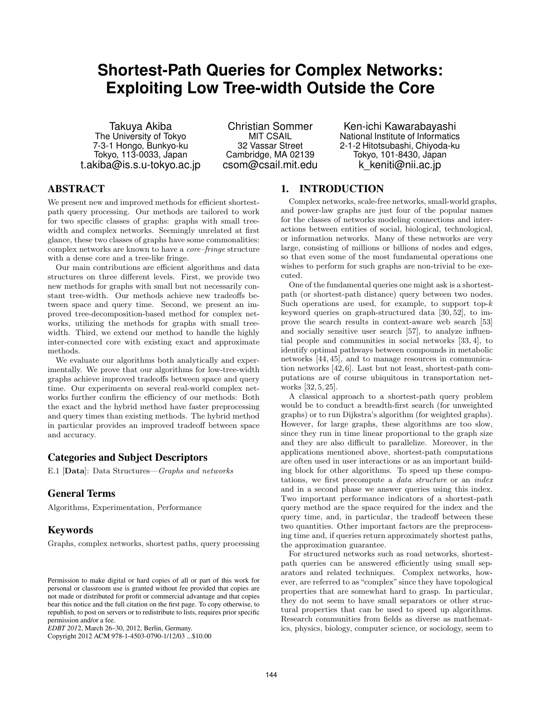# **Shortest-Path Queries for Complex Networks: Exploiting Low Tree-width Outside the Core**

Takuya Akiba The University of Tokyo 7-3-1 Hongo, Bunkyo-ku Tokyo, 113-0033, Japan t.akiba@is.s.u-tokyo.ac.jp

Christian Sommer MIT CSAIL 32 Vassar Street Cambridge, MA 02139 csom@csail.mit.edu

Ken-ichi Kawarabayashi National Institute of Informatics 2-1-2 Hitotsubashi, Chiyoda-ku Tokyo, 101-8430, Japan k keniti@nii.ac.jp

# ABSTRACT

We present new and improved methods for efficient shortestpath query processing. Our methods are tailored to work for two specific classes of graphs: graphs with small treewidth and complex networks. Seemingly unrelated at first glance, these two classes of graphs have some commonalities: complex networks are known to have a *core–fringe* structure with a dense core and a tree-like fringe.

Our main contributions are efficient algorithms and data structures on three different levels. First, we provide two new methods for graphs with small but not necessarily constant tree-width. Our methods achieve new tradeoffs between space and query time. Second, we present an improved tree-decomposition-based method for complex networks, utilizing the methods for graphs with small treewidth. Third, we extend our method to handle the highly inter-connected core with existing exact and approximate methods.

We evaluate our algorithms both analytically and experimentally. We prove that our algorithms for low-tree-width graphs achieve improved tradeoffs between space and query time. Our experiments on several real-world complex networks further confirm the efficiency of our methods: Both the exact and the hybrid method have faster preprocessing and query times than existing methods. The hybrid method in particular provides an improved tradeoff between space and accuracy.

# Categories and Subject Descriptors

E.1 [**Data**]: Data Structures—*Graphs and networks*

# General Terms

Algorithms, Experimentation, Performance

## Keywords

Graphs, complex networks, shortest paths, query processing

Copyright 2012 ACM 978-1-4503-0790-1/12/03 ...\$10.00

# 1. INTRODUCTION

Complex networks, scale-free networks, small-world graphs, and power-law graphs are just four of the popular names for the classes of networks modeling connections and interactions between entities of social, biological, technological, or information networks. Many of these networks are very large, consisting of millions or billions of nodes and edges, so that even some of the most fundamental operations one wishes to perform for such graphs are non-trivial to be executed.

One of the fundamental queries one might ask is a shortestpath (or shortest-path distance) query between two nodes. Such operations are used, for example, to support top-*k* keyword queries on graph-structured data [30, 52], to improve the search results in context-aware web search [53] and socially sensitive user search [57], to analyze influential people and communities in social networks [33, 4], to identify optimal pathways between compounds in metabolic networks [44, 45], and to manage resources in communication networks [42, 6]. Last but not least, shortest-path computations are of course ubiquitous in transportation networks [32, 5, 25].

A classical approach to a shortest-path query problem would be to conduct a breadth-first search (for unweighted graphs) or to run Dijkstra's algorithm (for weighted graphs). However, for large graphs, these algorithms are too slow, since they run in time linear proportional to the graph size and they are also difficult to parallelize. Moreover, in the applications mentioned above, shortest-path computations are often used in user interactions or as an important building block for other algorithms. To speed up these computations, we first precompute a *data structure* or an *index* and in a second phase we answer queries using this index. Two important performance indicators of a shortest-path query method are the space required for the index and the query time, and, in particular, the tradeoff between these two quantities. Other important factors are the preprocessing time and, if queries return approximately shortest paths, the approximation guarantee.

For structured networks such as road networks, shortestpath queries can be answered efficiently using small separators and related techniques. Complex networks, however, are referred to as "complex" since they have topological properties that are somewhat hard to grasp. In particular, they do not seem to have small separators or other structural properties that can be used to speed up algorithms. Research communities from fields as diverse as mathematics, physics, biology, computer science, or sociology, seem to

Permission to make digital or hard copies of all or part of this work for personal or classroom use is granted without fee provided that copies are not made or distributed for profit or commercial advantage and that copies bear this notice and the full citation on the first page. To copy otherwise, to republish, to post on servers or to redistribute to lists, requires prior specific permission and/or a fee.

*EDBT 2012*, March 26-30, 2012, Berlin, Germany.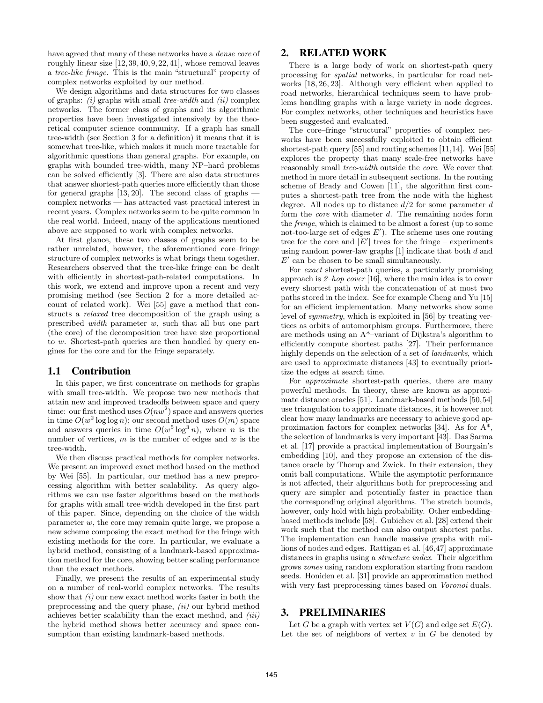have agreed that many of these networks have a *dense core* of roughly linear size [12, 39, 40, 9, 22, 41], whose removal leaves a *tree-like fringe*. This is the main "structural" property of complex networks exploited by our method.

We design algorithms and data structures for two classes of graphs: *(i)* graphs with small *tree-width* and *(ii)* complex networks. The former class of graphs and its algorithmic properties have been investigated intensively by the theoretical computer science community. If a graph has small tree-width (see Section 3 for a definition) it means that it is somewhat tree-like, which makes it much more tractable for algorithmic questions than general graphs. For example, on graphs with bounded tree-width, many NP–hard problems can be solved efficiently [3]. There are also data structures that answer shortest-path queries more efficiently than those for general graphs  $[13, 20]$ . The second class of graphs  $$ complex networks — has attracted vast practical interest in recent years. Complex networks seem to be quite common in the real world. Indeed, many of the applications mentioned above are supposed to work with complex networks.

At first glance, these two classes of graphs seem to be rather unrelated, however, the aforementioned core–fringe structure of complex networks is what brings them together. Researchers observed that the tree-like fringe can be dealt with efficiently in shortest-path-related computations. In this work, we extend and improve upon a recent and very promising method (see Section 2 for a more detailed account of related work). Wei [55] gave a method that constructs a *relaxed* tree decomposition of the graph using a prescribed *width* parameter *w*, such that all but one part (the core) of the decomposition tree have size proportional to *w*. Shortest-path queries are then handled by query engines for the core and for the fringe separately.

## 1.1 Contribution

In this paper, we first concentrate on methods for graphs with small tree-width. We propose two new methods that attain new and improved tradeoffs between space and query time: our first method uses  $O(nw^2)$  space and answers queries in time  $O(w^2 \log \log n)$ ; our second method uses  $O(m)$  space and answers queries in time  $O(w^5 \log^3 n)$ , where *n* is the number of vertices, *m* is the number of edges and *w* is the tree-width.

We then discuss practical methods for complex networks. We present an improved exact method based on the method by Wei [55]. In particular, our method has a new preprocessing algorithm with better scalability. As query algorithms we can use faster algorithms based on the methods for graphs with small tree-width developed in the first part of this paper. Since, depending on the choice of the width parameter *w*, the core may remain quite large, we propose a new scheme composing the exact method for the fringe with existing methods for the core. In particular, we evaluate a hybrid method, consisting of a landmark-based approximation method for the core, showing better scaling performance than the exact methods.

Finally, we present the results of an experimental study on a number of real-world complex networks. The results show that *(i)* our new exact method works faster in both the preprocessing and the query phase, *(ii)* our hybrid method achieves better scalability than the exact method, and *(iii)* the hybrid method shows better accuracy and space consumption than existing landmark-based methods.

## 2. RELATED WORK

There is a large body of work on shortest-path query processing for *spatial* networks, in particular for road networks [18, 26, 23]. Although very efficient when applied to road networks, hierarchical techniques seem to have problems handling graphs with a large variety in node degrees. For complex networks, other techniques and heuristics have been suggested and evaluated.

The core–fringe "structural" properties of complex networks have been successfully exploited to obtain efficient shortest-path query [55] and routing schemes [11,14]. Wei [55] explores the property that many scale-free networks have reasonably small *tree-width* outside the *core*. We cover that method in more detail in subsequent sections. In the routing scheme of Brady and Cowen [11], the algorithm first computes a shortest-path tree from the node with the highest degree. All nodes up to distance *d/*2 for some parameter *d* form the *core* with diameter *d*. The remaining nodes form the *fringe*, which is claimed to be almost a forest (up to some not-too-large set of edges  $E'$ ). The scheme uses one routing tree for the core and  $|E'|$  trees for the fringe – experiments using random power-law graphs [1] indicate that both *d* and  $E'$  can be chosen to be small simultaneously.

For *exact* shortest-path queries, a particularly promising approach is *2–hop cover* [16], where the main idea is to cover every shortest path with the concatenation of at most two paths stored in the index. See for example Cheng and Yu [15] for an efficient implementation. Many networks show some level of *symmetry*, which is exploited in [56] by treating vertices as orbits of automorphism groups. Furthermore, there are methods using an A\*–variant of Dijkstra's algorithm to efficiently compute shortest paths [27]. Their performance highly depends on the selection of a set of *landmarks*, which are used to approximate distances [43] to eventually prioritize the edges at search time.

For *approximate* shortest-path queries, there are many powerful methods. In theory, these are known as approximate distance oracles [51]. Landmark-based methods [50,54] use triangulation to approximate distances, it is however not clear how many landmarks are necessary to achieve good approximation factors for complex networks [34]. As for A\*, the selection of landmarks is very important [43]. Das Sarma et al. [17] provide a practical implementation of Bourgain's embedding [10], and they propose an extension of the distance oracle by Thorup and Zwick. In their extension, they omit ball computations. While the asymptotic performance is not affected, their algorithms both for preprocessing and query are simpler and potentially faster in practice than the corresponding original algorithms. The stretch bounds, however, only hold with high probability. Other embeddingbased methods include [58]. Gubichev et al. [28] extend their work such that the method can also output shortest paths. The implementation can handle massive graphs with millions of nodes and edges. Rattigan et al. [46,47] approximate distances in graphs using a *structure index*. Their algorithm grows *zones* using random exploration starting from random seeds. Honiden et al. [31] provide an approximation method with very fast preprocessing times based on *Voronoi* duals.

### 3. PRELIMINARIES

Let *G* be a graph with vertex set  $V(G)$  and edge set  $E(G)$ . Let the set of neighbors of vertex  $v$  in  $G$  be denoted by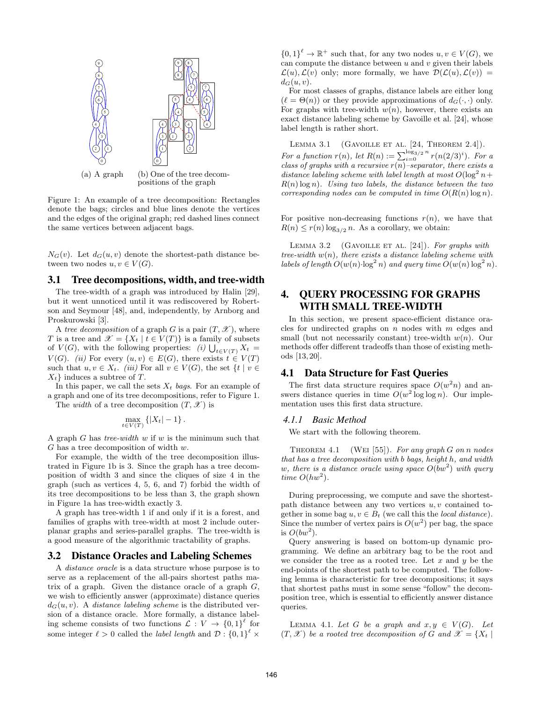

Figure 1: An example of a tree decomposition: Rectangles denote the bags; circles and blue lines denote the vertices and the edges of the original graph; red dashed lines connect the same vertices between adjacent bags.

 $N_G(v)$ . Let  $d_G(u, v)$  denote the shortest-path distance between two nodes  $u, v \in V(G)$ .

## 3.1 Tree decompositions, width, and tree-width

The tree-width of a graph was introduced by Halin [29], but it went unnoticed until it was rediscovered by Robertson and Seymour [48], and, independently, by Arnborg and Proskurowski [3].

A *tree decomposition* of a graph *G* is a pair  $(T, \mathcal{X})$ , where *T* is a tree and  $\mathscr{X} = \{X_t | t \in V(T)\}\$ is a family of subsets of  $V(G)$ , with the following properties: *(i)*  $\bigcup_{t \in V(T)} X_t =$ *V*(*G*). *(ii)* For every  $(u, v) \in E(G)$ , there exists  $t \in V(T)$ such that  $u, v \in X_t$ . *(iii)* For all  $v \in V(G)$ , the set  $\{t \mid v \in$ *Xt}* induces a subtree of *T*.

In this paper, we call the sets *X<sup>t</sup> bags*. For an example of a graph and one of its tree decompositions, refer to Figure 1.

The *width* of a tree decomposition  $(T, \mathcal{X})$  is

$$
\max_{t \in V(T)} \left\{ |X_t| - 1 \right\}.
$$

A graph *G* has *tree-width w* if *w* is the minimum such that *G* has a tree decomposition of width *w*.

For example, the width of the tree decomposition illustrated in Figure 1b is 3. Since the graph has a tree decomposition of width 3 and since the cliques of size 4 in the graph (such as vertices 4, 5, 6, and 7) forbid the width of its tree decompositions to be less than 3, the graph shown in Figure 1a has tree-width exactly 3.

A graph has tree-width 1 if and only if it is a forest, and families of graphs with tree-width at most 2 include outerplanar graphs and series-parallel graphs. The tree-width is a good measure of the algorithmic tractability of graphs.

## 3.2 Distance Oracles and Labeling Schemes

A *distance oracle* is a data structure whose purpose is to serve as a replacement of the all-pairs shortest paths matrix of a graph. Given the distance oracle of a graph *G*, we wish to efficiently answer (approximate) distance queries  $d_G(u, v)$ . A *distance labeling scheme* is the distributed version of a distance oracle. More formally, a distance labeling scheme consists of two functions  $\mathcal{L}: V \to \{0,1\}^{\ell}$  for some integer  $\ell > 0$  called the *label length* and  $\mathcal{D}$  :  $\{0,1\}^{\ell} \times$ 

 ${0,1}^{\ell} \to \mathbb{R}^+$  such that, for any two nodes  $u, v \in V(G)$ , we can compute the distance between *u* and *v* given their labels  $\mathcal{L}(u)$ ,  $\mathcal{L}(v)$  only; more formally, we have  $\mathcal{D}(\mathcal{L}(u), \mathcal{L}(v)) =$  $d_G(u, v)$ .

For most classes of graphs, distance labels are either long  $(\ell = \Theta(n))$  or they provide approximations of  $d_G(\cdot, \cdot)$  only. For graphs with tree-width  $w(n)$ , however, there exists an exact distance labeling scheme by Gavoille et al. [24], whose label length is rather short.

LEMMA 3.1 (GAVOILLE ET AL.  $[24,$  THEOREM 2.4]). *For a function*  $r(n)$ *, let*  $R(n) := \sum_{i=0}^{\log_{3}/2} {n \choose i}$   $r(n(2/3)^{i})$ *. For a class of graphs with a recursive r*(*n*)*–separator, there exists a distance labeling scheme with label length at most*  $O(\log^2 n +$ *R*(*n*) log *n*)*. Using two labels, the distance between the two corresponding nodes can be computed in time*  $O(R(n) \log n)$ *.* 

For positive non-decreasing functions  $r(n)$ , we have that  $R(n) \leq r(n) \log_{3/2} n$ . As a corollary, we obtain:

LEMMA 3.2 (GAVOILLE ET AL. [24]). For graphs with *tree-width w*(*n*)*, there exists a distance labeling scheme with labels of length*  $O(w(n) \cdot \log^2 n)$  *and query time*  $O(w(n) \log^2 n)$ *.* 

# 4. QUERY PROCESSING FOR GRAPHS WITH SMALL TREE-WIDTH

In this section, we present space-efficient distance oracles for undirected graphs on *n* nodes with *m* edges and small (but not necessarily constant) tree-width *w*(*n*). Our methods offer different tradeoffs than those of existing methods [13, 20].

# 4.1 Data Structure for Fast Queries

The first data structure requires space  $O(w^2n)$  and answers distance queries in time  $O(w^2 \log \log n)$ . Our implementation uses this first data structure.

#### *4.1.1 Basic Method*

We start with the following theorem.

Theorem 4.1 (Wei [55]). *For any graph G on n nodes that has a tree decomposition with b bags, height h, and width w, there is a distance oracle using space O*(*bw*<sup>2</sup> ) *with query time*  $O(hw^2)$ *.* 

During preprocessing, we compute and save the shortestpath distance between any two vertices *u, v* contained together in some bag  $u, v \in B_t$  (we call this the *local distance*). Since the number of vertex pairs is  $O(w^2)$  per bag, the space is  $O(bw^2)$ .

Query answering is based on bottom-up dynamic programming. We define an arbitrary bag to be the root and we consider the tree as a rooted tree. Let *x* and *y* be the end-points of the shortest path to be computed. The following lemma is characteristic for tree decompositions; it says that shortest paths must in some sense "follow" the decomposition tree, which is essential to efficiently answer distance queries.

LEMMA 4.1. Let *G* be a graph and  $x, y \in V(G)$ . Let  $(T, \mathcal{X})$  be a rooted tree decomposition of G and  $\mathcal{X} = \{X_t | t\}$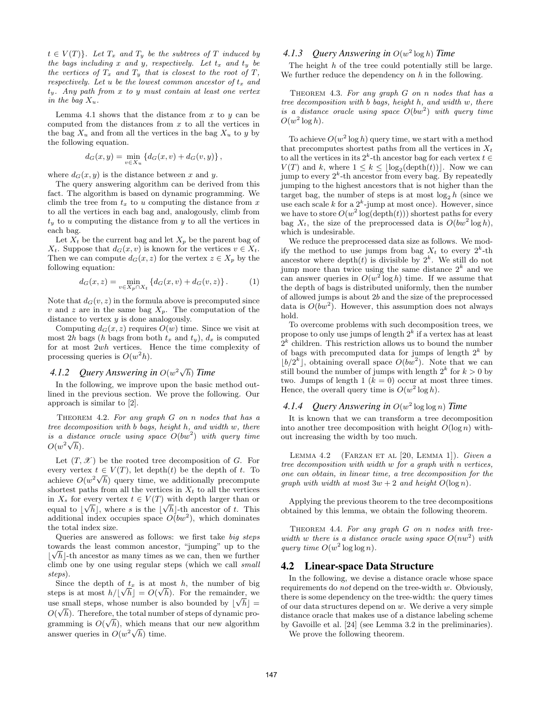$t \in V(T)$ *}. Let*  $T_x$  *and*  $T_y$  *be the subtrees of T induced by the bags including x and y, respectively. Let t<sup>x</sup> and t<sup>y</sup> be the vertices of*  $T_x$  *and*  $T_y$  *that is closest to the root of*  $T$ *, respectively. Let u be the lowest common ancestor of t<sup>x</sup> and ty. Any path from x to y must contain at least one vertex in the bag*  $X_u$ *.* 

Lemma 4.1 shows that the distance from  $x$  to  $y$  can be computed from the distances from *x* to all the vertices in the bag  $X_u$  and from all the vertices in the bag  $X_u$  to *y* by the following equation.

$$
d_G(x,y) = \min_{v \in X_u} \{ d_G(x,v) + d_G(v,y) \},\,
$$

where  $d_G(x, y)$  is the distance between x and y.

The query answering algorithm can be derived from this fact. The algorithm is based on dynamic programming. We climb the tree from  $t_x$  to  $u$  computing the distance from  $x$ to all the vertices in each bag and, analogously, climb from  $t<sub>y</sub>$  to *u* computing the distance from *y* to all the vertices in each bag.

Let  $X_t$  be the current bag and let  $X_p$  be the parent bag of *X*<sup>t</sup>. Suppose that  $d_G(x, v)$  is known for the vertices  $v \in X_t$ . Then we can compute  $d_G(x, z)$  for the vertex  $z \in X_p$  by the following equation:

$$
d_G(x, z) = \min_{v \in X_p \cap X_t} \{ d_G(x, v) + d_G(v, z) \}.
$$
 (1)

Note that  $d_G(v, z)$  in the formula above is precomputed since *v* and *z* are in the same bag  $X_p$ . The computation of the distance to vertex *y* is done analogously.

Computing  $d_G(x, z)$  requires  $O(w)$  time. Since we visit at most 2*h* bags (*h* bags from both  $t_x$  and  $t_y$ ),  $d_x$  is computed for at most 2*wh* vertices. Hence the time complexity of processing queries is  $O(w^2 h)$ .

# *4.1.2 Query Answering in O*(*w* 2*√ h*) *Time*

In the following, we improve upon the basic method outlined in the previous section. We prove the following. Our approach is similar to [2].

Theorem 4.2. *For any graph G on n nodes that has a tree decomposition with b bags, height h, and width w, there is a distance oracle using space O*(*bw*<sup>2</sup> ) *with query time*  $O(w^2\sqrt{h}).$ 

Let  $(T, \mathscr{X})$  be the rooted tree decomposition of *G*. For every vertex  $t \in V(T)$ , let depth $(t)$  be the depth of  $t$ . To achieve  $O(w^2\sqrt{h})$  query time, we additionally precompute shortest paths from all the vertices in  $X_t$  to all the vertices in  $X_s$  for every vertex  $t \in V(T)$  with depth larger than or equal to  $\lfloor \sqrt{h} \rfloor$ , where *s* is the  $\lfloor \sqrt{h} \rfloor$ -th ancestor of *t*. This additional index occupies space  $O(bw^2)$ , which dominates the total index size.

Queries are answered as follows: we first take *big steps* towards the least common ancestor, "jumping" up to the *√*  $\lfloor \sqrt{h} \rfloor$ -th ancestor as many times as we can, then we further climb one by one using regular steps (which we call *small steps*).

Since the depth of  $t_x$  is at most *h*, the number of big steps is at most  $h/[\sqrt{h}] = O(\sqrt{h})$ . For the remainder, we use small steps, whose number is also bounded by  $\lfloor \sqrt{h} \rfloor =$  $O(\sqrt{h})$ . Therefore, the total number of steps of dynamic programming is  $O(\sqrt{h})$ , which means that our new algorithm answer queries in  $O(w^2\sqrt{h})$  time.

## *4.1.3 Query Answering in O*(*w* 2 log *h*) *Time*

The height *h* of the tree could potentially still be large. We further reduce the dependency on *h* in the following.

Theorem 4.3. *For any graph G on n nodes that has a tree decomposition with b bags, height h, and width w, there is a distance oracle using space O*(*bw*<sup>2</sup> ) *with query time*  $O(w^2 \log h)$ .

To achieve  $O(w^2 \log h)$  query time, we start with a method that precomputes shortest paths from all the vertices in  $X_t$ to all the vertices in its  $2^k$ -th ancestor bag for each vertex  $t \in$  $V(T)$  and *k*, where  $1 \leq k \leq \lfloor \log_2(\text{depth}(t)) \rfloor$ . Now we can jump to every  $2^k$ -th ancestor from every bag. By repeatedly jumping to the highest ancestors that is not higher than the target bag, the number of steps is at most  $log_2 h$  (since we use each scale  $k$  for a  $2^k$ -jump at most once). However, since we have to store  $O(w^2 \log(\text{depth}(t)))$  shortest paths for every bag  $X_t$ , the size of the preprocessed data is  $O(bw^2 \log h)$ , which is undesirable.

We reduce the preprocessed data size as follows. We modify the method to use jumps from bag  $X_t$  to every  $2^k$ -th ancestor where  $\text{depth}(t)$  is divisible by  $2^k$ . We still do not jump more than twice using the same distance  $2^k$  and we can answer queries in  $O(w^2 \log h)$  time. If we assume that the depth of bags is distributed uniformly, then the number of allowed jumps is about 2*b* and the size of the preprocessed data is  $O(bw^2)$ . However, this assumption does not always hold.

To overcome problems with such decomposition trees, we propose to only use jumps of length 2*<sup>k</sup>* if a vertex has at least  $2<sup>k</sup>$  children. This restriction allows us to bound the number of bags with precomputed data for jumps of length  $2^k$  by  $\lfloor b/2^k \rfloor$ , obtaining overall space  $O(bw^2)$ . Note that we can still bound the number of jumps with length  $2^k$  for  $k > 0$  by two. Jumps of length 1  $(k = 0)$  occur at most three times. Hence, the overall query time is  $O(w^2 \log h)$ .

## *4.1.4 Query Answering in O*(*w* 2 log log *n*) *Time*

It is known that we can transform a tree decomposition into another tree decomposition with height  $O(\log n)$  without increasing the width by too much.

Lemma 4.2 (Farzan et al [20, Lemma 1]). *Given a tree decomposition with width w for a graph with n vertices, one can obtain, in linear time, a tree decomposition for the graph with width at most*  $3w + 2$  *and height*  $O(\log n)$ *.* 

Applying the previous theorem to the tree decompositions obtained by this lemma, we obtain the following theorem.

Theorem 4.4. *For any graph G on n nodes with treewidth w there is a distance oracle using space*  $O(nw^2)$  *with query time*  $O(w^2 \log \log n)$ *.* 

### 4.2 Linear-space Data Structure

In the following, we devise a distance oracle whose space requirements do *not* depend on the tree-width *w*. Obviously, there is some dependency on the tree-width: the query times of our data structures depend on *w*. We derive a very simple distance oracle that makes use of a distance labeling scheme by Gavoille et al. [24] (see Lemma 3.2 in the preliminaries).

We prove the following theorem.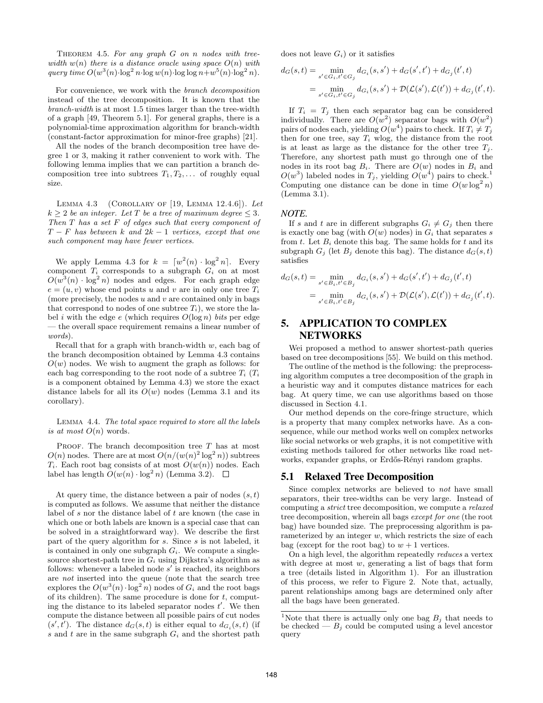THEOREM 4.5. For any graph *G* on *n* nodes with tree*width*  $w(n)$  *there is a distance oracle using space*  $O(n)$  *with query time*  $O(w^3(n) \cdot \log^2 n \cdot \log w(n) \cdot \log \log n + w^5(n) \cdot \log^2 n)$ .

For convenience, we work with the *branch decomposition* instead of the tree decomposition. It is known that the *branch-width* is at most 1.5 times larger than the tree-width of a graph [49, Theorem 5.1]. For general graphs, there is a polynomial-time approximation algorithm for branch-width (constant-factor approximation for minor-free graphs) [21].

All the nodes of the branch decomposition tree have degree 1 or 3, making it rather convenient to work with. The following lemma implies that we can partition a branch decomposition tree into subtrees  $T_1, T_2, \ldots$  of roughly equal size.

Lemma 4.3 (Corollary of [19, Lemma 12.4.6]). *Let*  $k \geq 2$  *be an integer. Let T be a tree of maximum degree*  $\leq 3$ *. Then T has a set F of edges such that every component of T − F has between k and* 2*k −* 1 *vertices, except that one such component may have fewer vertices.*

We apply Lemma 4.3 for  $k = \lfloor w^2(n) \cdot \log^2 n \rfloor$ . Every component  $T_i$  corresponds to a subgraph  $G_i$  on at most  $O(w^3(n) \cdot \log^2 n)$  nodes and edges. For each graph edge  $e = (u, v)$  whose end points *u* and *v* are in only one tree  $T_i$ (more precisely, the nodes *u* and *v* are contained only in bags that correspond to nodes of one subtree  $T_i$ ), we store the label *i* with the edge *e* (which requires *O*(log *n*) *bits* per edge — the overall space requirement remains a linear number of *words*).

Recall that for a graph with branch-width *w*, each bag of the branch decomposition obtained by Lemma 4.3 contains  $O(w)$  nodes. We wish to augment the graph as follows: for each bag corresponding to the root node of a subtree  $T_i$  ( $T_i$ is a component obtained by Lemma 4.3) we store the exact distance labels for all its  $O(w)$  nodes (Lemma 3.1 and its corollary).

Lemma 4.4. *The total space required to store all the labels is at most*  $O(n)$  words.

PROOF. The branch decomposition tree *T* has at most  $O(n)$  nodes. There are at most  $O(n/(w(n)^2 \log^2 n))$  subtrees  $T_i$ . Each root bag consists of at most  $O(w(n))$  nodes. Each label has length  $O(w(n) \cdot \log^2 n)$  (Lemma 3.2).  $\square$ 

At query time, the distance between a pair of nodes (*s, t*) is computed as follows. We assume that neither the distance label of *s* nor the distance label of *t* are known (the case in which one or both labels are known is a special case that can be solved in a straightforward way). We describe the first part of the query algorithm for *s*. Since *s* is not labeled, it is contained in only one subgraph  $G_i$ . We compute a singlesource shortest-path tree in  $G_i$  using Dijkstra's algorithm as follows: whenever a labeled node s' is reached, its neighbors are *not* inserted into the queue (note that the search tree explores the  $O(w^3(n) \cdot \log^2 n)$  nodes of  $G_i$  and the root bags of its children). The same procedure is done for *t*, computing the distance to its labeled separator nodes  $t'$ . We then compute the distance between all possible pairs of cut nodes  $(s', t')$ . The distance  $d_G(s, t)$  is either equal to  $d_{G_i}(s, t)$  (if *s* and *t* are in the same subgraph *G<sup>i</sup>* and the shortest path does not leave  $G_i$ ) or it satisfies

$$
d_G(s,t) = \min_{s' \in G_i, t' \in G_j} d_{G_i}(s, s') + d_G(s', t') + d_{G_j}(t', t)
$$
  
= 
$$
\min_{s' \in G_i, t' \in G_j} d_{G_i}(s, s') + \mathcal{D}(\mathcal{L}(s'), \mathcal{L}(t')) + d_{G_j}(t', t).
$$

If  $T_i = T_j$  then each separator bag can be considered individually. There are  $O(w^2)$  separator bags with  $O(w^2)$ pairs of nodes each, yielding  $O(w^4)$  pairs to check. If  $T_i \neq T_j$ then for one tree, say  $T_i$  wlog, the distance from the root is at least as large as the distance for the other tree  $T_i$ . Therefore, any shortest path must go through one of the nodes in its root bag  $B_i$ . There are  $O(w)$  nodes in  $B_i$  and  $O(w^3)$  labeled nodes in  $T_j$ , yielding  $O(w^4)$  pairs to check.<sup>1</sup> Computing one distance can be done in time  $O(w \log^2 n)$ (Lemma 3.1).

#### *NOTE.*

If *s* and *t* are in different subgraphs  $G_i \neq G_j$  then there is exactly one bag (with  $O(w)$  nodes) in  $G_i$  that separates *s* from  $t$ . Let  $B_i$  denote this bag. The same holds for  $t$  and its subgraph  $G_i$  (let  $B_i$  denote this bag). The distance  $d_G(s,t)$ satisfies

$$
d_G(s,t) = \min_{s' \in B_i, t' \in B_j} d_{G_i}(s,s') + d_G(s',t') + d_{G_j}(t',t)
$$
  
= 
$$
\min_{s' \in B_i, t' \in B_j} d_{G_i}(s,s') + \mathcal{D}(\mathcal{L}(s'), \mathcal{L}(t')) + d_{G_j}(t',t).
$$

# 5. APPLICATION TO COMPLEX NETWORKS

Wei proposed a method to answer shortest-path queries based on tree decompositions [55]. We build on this method.

The outline of the method is the following: the preprocessing algorithm computes a tree decomposition of the graph in a heuristic way and it computes distance matrices for each bag. At query time, we can use algorithms based on those discussed in Section 4.1.

Our method depends on the core-fringe structure, which is a property that many complex networks have. As a consequence, while our method works well on complex networks like social networks or web graphs, it is not competitive with existing methods tailored for other networks like road networks, expander graphs, or Erdős-Rényi random graphs.

## 5.1 Relaxed Tree Decomposition

Since complex networks are believed to *not* have small separators, their tree-widths can be very large. Instead of computing a *strict* tree decomposition, we compute a *relaxed* tree decomposition, wherein all bags *except for one* (the root bag) have bounded size. The preprocessing algorithm is parameterized by an integer *w*, which restricts the size of each bag (except for the root bag) to  $w + 1$  vertices.

On a high level, the algorithm repeatedly *reduces* a vertex with degree at most *w*, generating a list of bags that form a tree (details listed in Algorithm 1). For an illustration of this process, we refer to Figure 2. Note that, actually, parent relationships among bags are determined only after all the bags have been generated.

<sup>&</sup>lt;sup>1</sup>Note that there is actually only one bag  $B_j$  that needs to be checked —  $B_j$  could be computed using a level ancestor query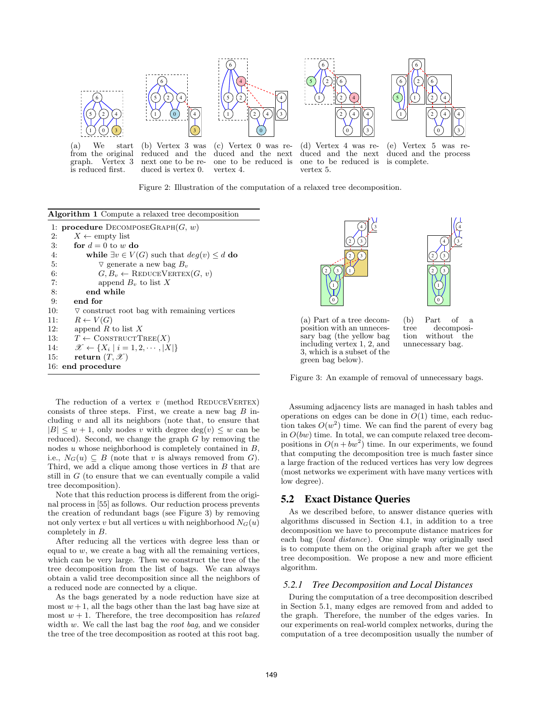

from the original graph. Vertex 3 is reduced first.

reduced and the next one to be reduced is vertex 0.

duced and the next one to be reduced is vertex 4.

duced and the next of one to be reduced is vertex 5.

(e) Vertex 5 was reduced and the process is complete.

3) 4)

9 10

Figure 2: Illustration of the computation of a relaxed tree decomposition.

| <b>Algorithm 1</b> Compute a relaxed tree decomposition            |
|--------------------------------------------------------------------|
| 1: <b>procedure</b> DECOMPOSEGRAPH $(G, w)$                        |
| $X \leftarrow \text{empty list}$<br>2:                             |
| for $d=0$ to w do<br>3:                                            |
| while $\exists v \in V(G)$ such that $deg(v) \leq d$ do<br>4:      |
| $\triangledown$ generate a new bag $B_v$<br>5:                     |
| $G, B_v \leftarrow \text{REDUCEVERTEX}(G, v)$<br>6:                |
| 7:<br>append $B_n$ to list X                                       |
| end while<br>8:                                                    |
| end for<br>9:                                                      |
| 10:<br>$\triangledown$ construct root bag with remaining vertices  |
| $R \leftarrow V(G)$<br>11:                                         |
| append R to list X<br>12:                                          |
| $T \leftarrow \text{CONTRUCTTREE}(X)$<br>13:                       |
| $\mathscr{X} \leftarrow \{X_i \mid i = 1, 2, \cdots,  X \}$<br>14: |
| return $(T, \mathscr{X})$<br>15:                                   |
| 16: end procedure                                                  |

The reduction of a vertex  $v$  (method REDUCEVERTEX) consists of three steps. First, we create a new bag *B* including *v* and all its neighbors (note that, to ensure that  $|B| \leq w + 1$ , only nodes *v* with degree deg(*v*)  $\leq w$  can be reduced). Second, we change the graph *G* by removing the nodes *u* whose neighborhood is completely contained in *B*, i.e.,  $N_G(u) \subseteq B$  (note that *v* is always removed from *G*). Third, we add a clique among those vertices in *B* that are still in *G* (to ensure that we can eventually compile a valid tree decomposition).

Note that this reduction process is different from the original process in [55] as follows. Our reduction process prevents the creation of redundant bags (see Figure 3) by removing not only vertex *v* but all vertices *u* with neighborhood  $N_G(u)$ completely in *B*.

After reducing all the vertices with degree less than or equal to  $w$ , we create a bag with all the remaining vertices, which can be very large. Then we construct the tree of the tree decomposition from the list of bags. We can always obtain a valid tree decomposition since all the neighbors of a reduced node are connected by a clique.

As the bags generated by a node reduction have size at most  $w + 1$ , all the bags other than the last bag have size at most  $w + 1$ . Therefore, the tree decomposition has *relaxed* width *w*. We call the last bag the *root bag*, and we consider the tree of the tree decomposition as rooted at this root bag.





(a) Part of a tree decomposition with an unnecessary bag (the yellow bag including vertex 1, 2, and 3, which is a subset of the green bag below).

(b) Part of a tree decomposition without the unnecessary bag.

Figure 3: An example of removal of unnecessary bags.

Assuming adjacency lists are managed in hash tables and operations on edges can be done in  $O(1)$  time, each reduction takes  $O(w^2)$  time. We can find the parent of every bag in *O*(*bw*) time. In total, we can compute relaxed tree decompositions in  $O(n + bw^2)$  time. In our experiments, we found that computing the decomposition tree is much faster since a large fraction of the reduced vertices has very low degrees (most networks we experiment with have many vertices with low degree).

## 5.2 Exact Distance Queries

As we described before, to answer distance queries with algorithms discussed in Section 4.1, in addition to a tree decomposition we have to precompute distance matrices for each bag (*local distance*). One simple way originally used is to compute them on the original graph after we get the tree decomposition. We propose a new and more efficient algorithm.

#### *5.2.1 Tree Decomposition and Local Distances*

During the computation of a tree decomposition described in Section 5.1, many edges are removed from and added to the graph. Therefore, the number of the edges varies. In our experiments on real-world complex networks, during the computation of a tree decomposition usually the number of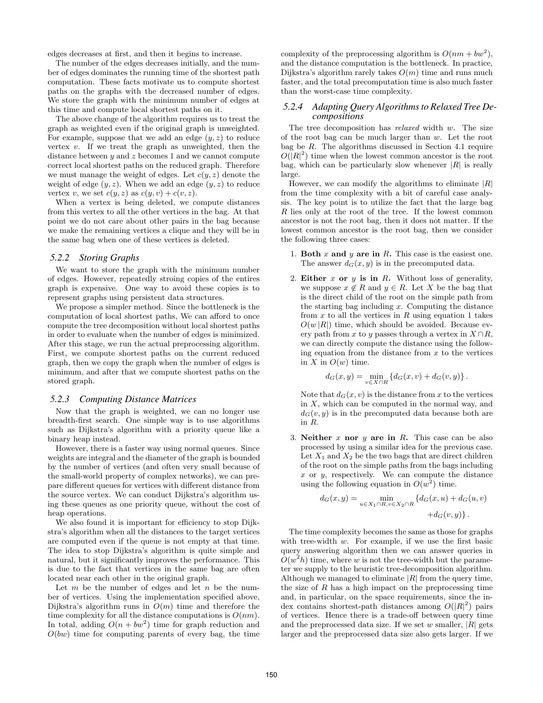edges decreases at first, and then it begins to increase.

The number of the edges decreases initially, and the number of edges dominates the running time of the shortest path computation. These facts motivate us to compute shortest paths on the graphs with the decreased number of edges. We store the graph with the minimum number of edges at this time and compute local shortest paths on it.

The above change of the algorithm requires us to treat the graph as weighted even if the original graph is unweighted. For example, suppose that we add an edge (*y, z*) to reduce vertex *v*. If we treat the graph as unweighted, then the distance between *y* and *z* becomes 1 and we cannot compute correct local shortest paths on the reduced graph. Therefore we must manage the weight of edges. Let  $c(y, z)$  denote the weight of edge  $(y, z)$ . When we add an edge  $(y, z)$  to reduce vertex *v*, we set  $c(y, z)$  as  $c(y, v) + c(v, z)$ .

When a vertex is being deleted, we compute distances from this vertex to all the other vertices in the bag. At that point we do not care about other pairs in the bag because we make the remaining vertices a clique and they will be in the same bag when one of these vertices is deleted.

#### *5.2.2 Storing Graphs*

We want to store the graph with the minimum number of edges. However, repeatedly stroing copies of the entires graph is expensive. One way to avoid these copies is to represent graphs using persistent data structures.

We propose a simpler method. Since the bottleneck is the computation of local shortest paths, We can afford to once compute the tree decomposition without local shortest paths in order to evaluate when the number of edges is minimized. After this stage, we run the actual preprocessing algorithm. First, we compute shortest paths on the current reduced graph, then we copy the graph when the number of edges is minimum, and after that we compute shortest paths on the stored graph.

#### *5.2.3 Computing Distance Matrices*

Now that the graph is weighted, we can no longer use breadth-first search. One simple way is to use algorithms such as Dijkstra's algorithm with a priority queue like a binary heap instead.

However, there is a faster way using normal queues. Since weights are integral and the diameter of the graph is bounded by the number of vertices (and often very small because of the small-world property of complex networks), we can prepare different queues for vertices with different distance from the source vertex. We can conduct Dijkstra's algorithm using these queues as one priority queue, without the cost of heap operations.

We also found it is important for efficiency to stop Dijkstra's algorithm when all the distances to the target vertices are computed even if the queue is not empty at that time. The idea to stop Dijkstra's algorithm is quite simple and natural, but it significantly improves the performance. This is due to the fact that vertices in the same bag are often located near each other in the original graph.

Let *m* be the number of edges and let *n* be the number of vertices. Using the implementation specified above, Dijkstra's algorithm runs in *O*(*m*) time and therefore the time complexity for all the distance computations is  $O(nm)$ . In total, adding  $O(n + bw^2)$  time for graph reduction and  $O(bw)$  time for computing parents of every bag, the time

complexity of the preprocessing algorithm is  $O(nm + bw^2)$ , and the distance computation is the bottleneck. In practice, Dijkstra's algorithm rarely takes  $O(m)$  time and runs much faster, and the total precomputation time is also much faster than the worst-case time complexity.

#### *5.2.4 Adapting Query Algorithms to Relaxed Tree Decompositions*

The tree decomposition has *relaxed* width *w*. The size of the root bag can be much larger than *w*. Let the root bag be *R*. The algorithms discussed in Section 4.1 require  $O(|R|^2)$  time when the lowest common ancestor is the root bag, which can be particularly slow whenever  $|R|$  is really large.

However, we can modify the algorithms to eliminate *|R|* from the time complexity with a bit of careful case analysis. The key point is to utilize the fact that the large bag *R* lies only at the root of the tree. If the lowest common ancestor is not the root bag, then it does not matter. If the lowest common ancestor is the root bag, then we consider the following three cases:

- 1. **Both** *x* **and** *y* **are in** *R***.** This case is the easiest one. The answer  $d_G(x, y)$  is in the precomputed data.
- 2. **Either** *x* **or** *y* **is in** *R***.** Without loss of generality, we suppose  $x \notin R$  and  $y \in R$ . Let X be the bag that is the direct child of the root on the simple path from the starting bag including *x*. Computing the distance from  $x$  to all the vertices in  $R$  using equation 1 takes  $O(w |R|)$  time, which should be avoided. Because every path from *x* to *y* passes through a vertex in  $X \cap R$ , we can directly compute the distance using the following equation from the distance from *x* to the vertices in *X* in  $O(w)$  time.

$$
d_G(x,y) = \min_{v \in X \cap R} \{d_G(x,v) + d_G(v,y)\}.
$$

Note that  $d_G(x, v)$  is the distance from x to the vertices in *X*, which can be computed in the normal way, and  $d_G(v, y)$  is in the precomputed data because both are in *R*.

3. **Neither** *x* **nor** *y* **are in** *R***.** This case can be also processed by using a similar idea for the previous case. Let  $X_1$  and  $X_2$  be the two bags that are direct children of the root on the simple paths from the bags including *x* or *y*, respectively. We can compute the distance using the following equation in  $O(w^2)$  time.

$$
d_G(x,y) = \min_{u \in X_1 \cap R, v \in X_2 \cap R} \left\{ d_G(x,u) + d_G(u,v) + d_G(v,y) \right\}.
$$

The time complexity becomes the same as those for graphs with tree-width *w*. For example, if we use the first basic query answering algorithm then we can answer queries in  $O(w^2h)$  time, where *w* is not the tree-width but the parameter we supply to the heuristic tree-decomposition algorithm. Although we managed to eliminate  $|R|$  from the query time, the size of *R* has a high impact on the preprocessing time and, in particular, on the space requirements, since the index contains shortest-path distances among  $O(|R|^2)$  pairs of vertices. Hence there is a trade-off between query time and the preprocessed data size. If we set *w* smaller, *|R|* gets larger and the preprocessed data size also gets larger. If we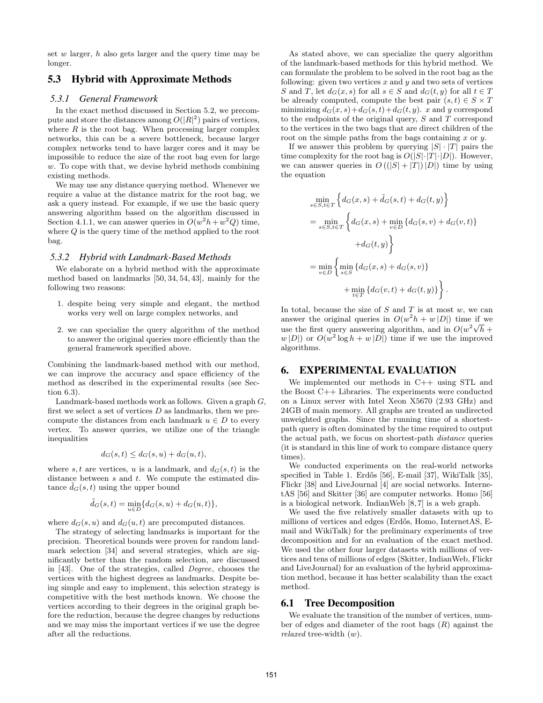set *w* larger, *h* also gets larger and the query time may be longer.

## 5.3 Hybrid with Approximate Methods

#### *5.3.1 General Framework*

In the exact method discussed in Section 5.2, we precompute and store the distances among  $O(|R|^2)$  pairs of vertices, where  $R$  is the root bag. When processing larger complex networks, this can be a severe bottleneck, because larger complex networks tend to have larger cores and it may be impossible to reduce the size of the root bag even for large *w*. To cope with that, we devise hybrid methods combining existing methods.

We may use any distance querying method. Whenever we require a value at the distance matrix for the root bag, we ask a query instead. For example, if we use the basic query answering algorithm based on the algorithm discussed in Section 4.1.1, we can answer queries in  $O(w^2h + w^2Q)$  time, where *Q* is the query time of the method applied to the root bag.

#### *5.3.2 Hybrid with Landmark-Based Methods*

We elaborate on a hybrid method with the approximate method based on landmarks [50, 34, 54, 43], mainly for the following two reasons:

- 1. despite being very simple and elegant, the method works very well on large complex networks, and
- 2. we can specialize the query algorithm of the method to answer the original queries more efficiently than the general framework specified above.

Combining the landmark-based method with our method, we can improve the accuracy and space efficiency of the method as described in the experimental results (see Section 6.3).

Landmark-based methods work as follows. Given a graph *G*, first we select a set of vertices *D* as landmarks, then we precompute the distances from each landmark  $u \in D$  to every vertex. To answer queries, we utilize one of the triangle inequalities

$$
d_G(s,t) \le d_G(s,u) + d_G(u,t),
$$

where *s, t* are vertices, *u* is a landmark, and  $d_G(s, t)$  is the distance between *s* and *t*. We compute the estimated distance  $\tilde{d}_G(s,t)$  using the upper bound

$$
\tilde d_G(s,t)=\min_{u\in D}\{d_G(s,u)+d_G(u,t)\},
$$

where  $d_G(s, u)$  and  $d_G(u, t)$  are precomputed distances.

The strategy of selecting landmarks is important for the precision. Theoretical bounds were proven for random landmark selection [34] and several strategies, which are significantly better than the random selection, are discussed in [43]. One of the strategies, called *Degree*, chooses the vertices with the highest degrees as landmarks. Despite being simple and easy to implement, this selection strategy is competitive with the best methods known. We choose the vertices according to their degrees in the original graph before the reduction, because the degree changes by reductions and we may miss the important vertices if we use the degree after all the reductions.

As stated above, we can specialize the query algorithm of the landmark-based methods for this hybrid method. We can formulate the problem to be solved in the root bag as the following: given two vertices  $x$  and  $y$  and two sets of vertices *S* and *T*, let  $d_G(x, s)$  for all  $s \in S$  and  $d_G(t, y)$  for all  $t \in T$ be already computed, compute the best pair  $(s, t) \in S \times T$ minimizing  $d_G(x, s) + d_G(s, t) + d_G(t, y)$ . *x* and *y* correspond to the endpoints of the original query, *S* and *T* correspond to the vertices in the two bags that are direct children of the root on the simple paths from the bags containing *x* or *y*.

If we answer this problem by querying  $|S| \cdot |T|$  pairs the time complexity for the root bag is  $O(|S| \cdot |T| \cdot |D|)$ . However, we can answer queries in  $O((|S| + |T|)|D|)$  time by using the equation

$$
\min_{s \in S, t \in T} \left\{ d_G(x, s) + \tilde{d}_G(s, t) + d_G(t, y) \right\}
$$
\n
$$
= \min_{s \in S, t \in T} \left\{ d_G(x, s) + \min_{v \in D} \{ d_G(s, v) + d_G(v, t) \} + d_G(t, y) \right\}
$$
\n
$$
= \min_{v \in D} \left\{ \min_{s \in S} \{ d_G(x, s) + d_G(s, v) \} + \min_{t \in T} \{ d_G(v, t) + d_G(t, y) \} \right\}.
$$

In total, because the size of *S* and *T* is at most *w*, we can answer the original queries in  $O(w^2h + w|D|)$  time if we use the first query answering algorithm, and in  $O(w^2\sqrt{h} +$  $w |D|$  or  $O(w^2 \log h + w |D|)$  time if we use the improved algorithms.

#### 6. EXPERIMENTAL EVALUATION

We implemented our methods in C++ using STL and the Boost C++ Libraries. The experiments were conducted on a Linux server with Intel Xeon X5670 (2.93 GHz) and 24GB of main memory. All graphs are treated as undirected unweighted graphs. Since the running time of a shortestpath query is often dominated by the time required to output the actual path, we focus on shortest-path *distance* queries (it is standard in this line of work to compare distance query times).

We conducted experiments on the real-world networks specified in Table 1. Erdős [56], E-mail [37], WikiTalk [35], Flickr [38] and LiveJournal [4] are social networks. InternetAS [56] and Skitter [36] are computer networks. Homo [56] is a biological network. IndianWeb [8, 7] is a web graph.

We used the five relatively smaller datasets with up to millions of vertices and edges (Erdős, Homo, InternetAS, Email and WikiTalk) for the preliminary experiments of tree decomposition and for an evaluation of the exact method. We used the other four larger datasets with millions of vertices and tens of millions of edges (Skitter, IndianWeb, Flickr and LiveJournal) for an evaluation of the hybrid approximation method, because it has better scalability than the exact method.

#### 6.1 Tree Decomposition

We evaluate the transition of the number of vertices, number of edges and diameter of the root bags (*R*) against the *relaxed* tree-width (*w*).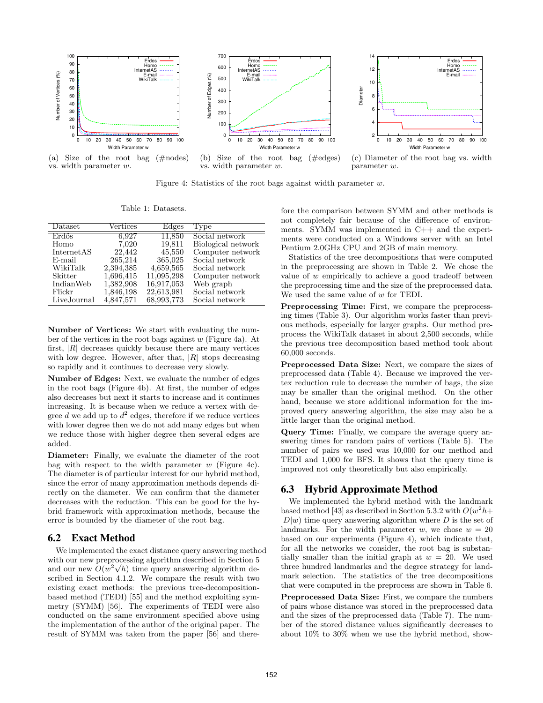

Figure 4: Statistics of the root bags against width parameter *w*.

Table 1: Datasets.

| Dataset     | Vertices  | Edges      | Type               |
|-------------|-----------|------------|--------------------|
| Erdős       | 6,927     | 11,850     | Social network     |
| Homo        | 7.020     | 19,811     | Biological network |
| InternetAS  | 22,442    | 45,550     | Computer network   |
| E-mail      | 265,214   | 365,025    | Social network     |
| WikiTalk    | 2,394,385 | 4,659,565  | Social network     |
| Skitter     | 1,696,415 | 11,095,298 | Computer network   |
| IndianWeb   | 1,382,908 | 16,917,053 | Web graph          |
| Flickr      | 1,846,198 | 22,613,981 | Social network     |
| LiveJournal | 4,847,571 | 68,993,773 | Social network     |

**Number of Vertices:** We start with evaluating the number of the vertices in the root bags against *w* (Figure 4a). At first, *|R|* decreases quickly because there are many vertices with low degree. However, after that, *|R|* stops decreasing so rapidly and it continues to decrease very slowly.

**Number of Edges:** Next, we evaluate the number of edges in the root bags (Figure 4b). At first, the number of edges also decreases but next it starts to increase and it continues increasing. It is because when we reduce a vertex with degree  $d$  we add up to  $d^2$  edges, therefore if we reduce vertices with lower degree then we do not add many edges but when we reduce those with higher degree then several edges are added.

**Diameter:** Finally, we evaluate the diameter of the root bag with respect to the width parameter *w* (Figure 4c). The diameter is of particular interest for our hybrid method, since the error of many approximation methods depends directly on the diameter. We can confirm that the diameter decreases with the reduction. This can be good for the hybrid framework with approximation methods, because the error is bounded by the diameter of the root bag.

## 6.2 Exact Method

We implemented the exact distance query answering method with our new preprocessing algorithm described in Section 5 *√* and our new  $O(w^2 \sqrt{h})$  time query answering algorithm described in Section 4.1.2. We compare the result with two existing exact methods: the previous tree-decompositionbased method (TEDI) [55] and the method exploiting symmetry (SYMM) [56]. The experiments of TEDI were also conducted on the same environment specified above using the implementation of the author of the original paper. The result of SYMM was taken from the paper [56] and therefore the comparison between SYMM and other methods is not completely fair because of the difference of environments. SYMM was implemented in C++ and the experiments were conducted on a Windows server with an Intel Pentium 2.0GHz CPU and 2GB of main memory.

Statistics of the tree decompositions that were computed in the preprocessing are shown in Table 2. We chose the value of *w* empirically to achieve a good tradeoff between the preprocessing time and the size of the preprocessed data. We used the same value of *w* for TEDI.

**Preprocessing Time:** First, we compare the preprocessing times (Table 3). Our algorithm works faster than previous methods, especially for larger graphs. Our method preprocess the WikiTalk dataset in about 2,500 seconds, while the previous tree decomposition based method took about 60,000 seconds.

**Preprocessed Data Size:** Next, we compare the sizes of preprocessed data (Table 4). Because we improved the vertex reduction rule to decrease the number of bags, the size may be smaller than the original method. On the other hand, because we store additional information for the improved query answering algorithm, the size may also be a little larger than the original method.

**Query Time:** Finally, we compare the average query answering times for random pairs of vertices (Table 5). The number of pairs we used was 10,000 for our method and TEDI and 1,000 for BFS. It shows that the query time is improved not only theoretically but also empirically.

# 6.3 Hybrid Approximate Method

We implemented the hybrid method with the landmark based method [43] as described in Section 5.3.2 with  $O(w^2 h +$  $|D|w$  time query answering algorithm where *D* is the set of landmarks. For the width parameter *w*, we chose  $w = 20$ based on our experiments (Figure 4), which indicate that, for all the networks we consider, the root bag is substantially smaller than the initial graph at  $w = 20$ . We used three hundred landmarks and the degree strategy for landmark selection. The statistics of the tree decompositions that were computed in the preprocess are shown in Table 6.

**Preprocessed Data Size:** First, we compare the numbers of pairs whose distance was stored in the preprocessed data and the sizes of the preprocessed data (Table 7). The number of the stored distance values significantly decreases to about 10% to 30% when we use the hybrid method, show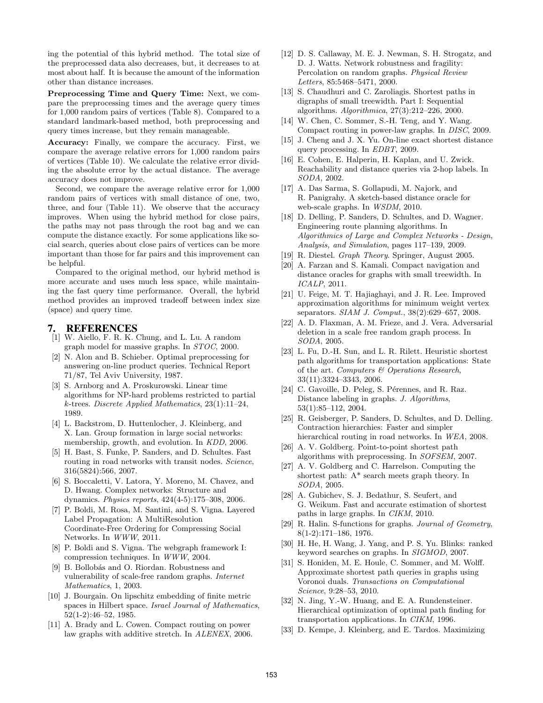ing the potential of this hybrid method. The total size of the preprocessed data also decreases, but, it decreases to at most about half. It is because the amount of the information other than distance increases.

**Preprocessing Time and Query Time:** Next, we compare the preprocessing times and the average query times for 1,000 random pairs of vertices (Table 8). Compared to a standard landmark-based method, both preprocessing and query times increase, but they remain manageable.

**Accuracy:** Finally, we compare the accuracy. First, we compare the average relative errors for 1,000 random pairs of vertices (Table 10). We calculate the relative error dividing the absolute error by the actual distance. The average accuracy does not improve.

Second, we compare the average relative error for 1,000 random pairs of vertices with small distance of one, two, three, and four (Table 11). We observe that the accuracy improves. When using the hybrid method for close pairs, the paths may not pass through the root bag and we can compute the distance exactly. For some applications like social search, queries about close pairs of vertices can be more important than those for far pairs and this improvement can be helpful.

Compared to the original method, our hybrid method is more accurate and uses much less space, while maintaining the fast query time performance. Overall, the hybrid method provides an improved tradeoff between index size (space) and query time.

#### 7. REFERENCES

- [1] W. Aiello, F. R. K. Chung, and L. Lu. A random graph model for massive graphs. In *STOC*, 2000.
- [2] N. Alon and B. Schieber. Optimal preprocessing for answering on-line product queries. Technical Report 71/87, Tel Aviv University, 1987.
- [3] S. Arnborg and A. Proskurowski. Linear time algorithms for NP-hard problems restricted to partial *k*-trees. *Discrete Applied Mathematics*, 23(1):11–24, 1989.
- [4] L. Backstrom, D. Huttenlocher, J. Kleinberg, and X. Lan. Group formation in large social networks: membership, growth, and evolution. In *KDD*, 2006.
- [5] H. Bast, S. Funke, P. Sanders, and D. Schultes. Fast routing in road networks with transit nodes. *Science*, 316(5824):566, 2007.
- [6] S. Boccaletti, V. Latora, Y. Moreno, M. Chavez, and D. Hwang. Complex networks: Structure and dynamics. *Physics reports*, 424(4-5):175–308, 2006.
- [7] P. Boldi, M. Rosa, M. Santini, and S. Vigna. Layered Label Propagation: A MultiResolution Coordinate-Free Ordering for Compressing Social Networks. In *WWW*, 2011.
- [8] P. Boldi and S. Vigna. The webgraph framework I: compression techniques. In *WWW*, 2004.
- [9] B. Bollobás and O. Riordan. Robustness and vulnerability of scale-free random graphs. *Internet Mathematics*, 1, 2003.
- [10] J. Bourgain. On lipschitz embedding of finite metric spaces in Hilbert space. *Israel Journal of Mathematics*, 52(1-2):46–52, 1985.
- [11] A. Brady and L. Cowen. Compact routing on power law graphs with additive stretch. In *ALENEX*, 2006.
- [12] D. S. Callaway, M. E. J. Newman, S. H. Strogatz, and D. J. Watts. Network robustness and fragility: Percolation on random graphs. *Physical Review Letters*, 85:5468–5471, 2000.
- [13] S. Chaudhuri and C. Zaroliagis. Shortest paths in digraphs of small treewidth. Part I: Sequential algorithms. *Algorithmica*, 27(3):212–226, 2000.
- [14] W. Chen, C. Sommer, S.-H. Teng, and Y. Wang. Compact routing in power-law graphs. In *DISC*, 2009.
- [15] J. Cheng and J. X. Yu. On-line exact shortest distance query processing. In *EDBT*, 2009.
- [16] E. Cohen, E. Halperin, H. Kaplan, and U. Zwick. Reachability and distance queries via 2-hop labels. In *SODA*, 2002.
- [17] A. Das Sarma, S. Gollapudi, M. Najork, and R. Panigrahy. A sketch-based distance oracle for web-scale graphs. In *WSDM*, 2010.
- [18] D. Delling, P. Sanders, D. Schultes, and D. Wagner. Engineering route planning algorithms. In *Algorithmics of Large and Complex Networks - Design, Analysis, and Simulation*, pages 117–139, 2009.
- [19] R. Diestel. *Graph Theory*. Springer, August 2005.
- [20] A. Farzan and S. Kamali. Compact navigation and distance oracles for graphs with small treewidth. In *ICALP*, 2011.
- [21] U. Feige, M. T. Hajiaghayi, and J. R. Lee. Improved approximation algorithms for minimum weight vertex separators. *SIAM J. Comput.*, 38(2):629–657, 2008.
- [22] A. D. Flaxman, A. M. Frieze, and J. Vera. Adversarial deletion in a scale free random graph process. In *SODA*, 2005.
- [23] L. Fu, D.-H. Sun, and L. R. Rilett. Heuristic shortest path algorithms for transportation applications: State of the art. *Computers & Operations Research*, 33(11):3324–3343, 2006.
- [24] C. Gavoille, D. Peleg, S. Pérennes, and R. Raz. Distance labeling in graphs. *J. Algorithms*, 53(1):85–112, 2004.
- [25] R. Geisberger, P. Sanders, D. Schultes, and D. Delling. Contraction hierarchies: Faster and simpler hierarchical routing in road networks. In *WEA*, 2008.
- [26] A. V. Goldberg. Point-to-point shortest path algorithms with preprocessing. In *SOFSEM*, 2007.
- [27] A. V. Goldberg and C. Harrelson. Computing the shortest path: A\* search meets graph theory. In *SODA*, 2005.
- [28] A. Gubichev, S. J. Bedathur, S. Seufert, and G. Weikum. Fast and accurate estimation of shortest paths in large graphs. In *CIKM*, 2010.
- [29] R. Halin. S-functions for graphs. *Journal of Geometry*, 8(1-2):171–186, 1976.
- [30] H. He, H. Wang, J. Yang, and P. S. Yu. Blinks: ranked keyword searches on graphs. In *SIGMOD*, 2007.
- [31] S. Honiden, M. E. Houle, C. Sommer, and M. Wolff. Approximate shortest path queries in graphs using Voronoi duals. *Transactions on Computational Science*, 9:28–53, 2010.
- [32] N. Jing, Y.-W. Huang, and E. A. Rundensteiner. Hierarchical optimization of optimal path finding for transportation applications. In *CIKM*, 1996.
- [33] D. Kempe, J. Kleinberg, and E. Tardos. Maximizing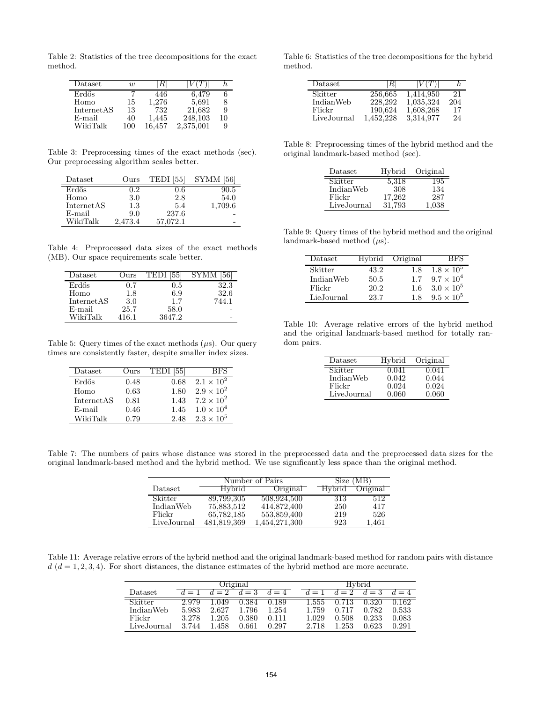Table 2: Statistics of the tree decompositions for the exact method.

| Dataset    | $\overline{w}$ |        |           |    |
|------------|----------------|--------|-----------|----|
| Erdős      |                | 446    | 6,479     |    |
| Homo       | 15             | 1,276  | 5,691     |    |
| InternetAS | 13             | 732    | 21,682    | 9  |
| $E$ -mail  | 40             | 1,445  | 248,103   | 10 |
| WikiTalk   | 100            | 16.457 | 2,375,001 | 9  |

Table 3: Preprocessing times of the exact methods (sec). Our preprocessing algorithm scales better.

| $\text{Dataset}$ | Ours    | [55]<br>TEDI | SYMM    |
|------------------|---------|--------------|---------|
| Erdős            | 1.2     | 0.6          | 90.5    |
| Homo             | 3.0     | 2.8          | 54.0    |
| InternetAS       | 1.3     | 5.4          | 1,709.6 |
| $E$ -mail        | 9.0     | 237.6        |         |
| WikiTalk         | 2,473.4 | 57.072.1     |         |

Table 4: Preprocessed data sizes of the exact methods (MB). Our space requirements scale better.

| $\mathrm{D} \mathrm{at } \mathrm{as } \mathrm{et }$ | Jurs  | TED.   |       |
|-----------------------------------------------------|-------|--------|-------|
| Erdős                                               |       | ה ו    | 2.3   |
| Homo                                                | 1.8   | 6.9    | 32.6  |
| InternetAS                                          | 3.0   | 1.7    | 744.1 |
| $E$ -mail                                           | 25.7  | 58.0   |       |
| WikiTalk                                            | 416.1 | 3647.2 |       |

Table 5: Query times of the exact methods (*µ*s). Our query times are consistently faster, despite smaller index sizes.

| Dataset    | Ours | <b>TEDI</b> [55] | BES                 |
|------------|------|------------------|---------------------|
| Erdős      | 0.48 | 0.68             | $2.1 \times 10^{2}$ |
| Homo       | 0.63 | 1.80             | $2.9 \times 10^{2}$ |
| InternetAS | 0.81 | 1.43             | $7.2 \times 10^{2}$ |
| $E$ -mail  | 0.46 | 1.45             | $1.0 \times 10^{4}$ |
| WikiTalk   | 0.79 | 2.48             | $2.3 \times 10^{5}$ |

Table 6: Statistics of the tree decompositions for the hybrid method.

| Dataset     | ĸı        | V FF      |     |
|-------------|-----------|-----------|-----|
| Skitter     | 256,665   | 1,414,950 | 21  |
| IndianWeb   | 228,292   | 1,035,324 | 204 |
| Flickr      | 190,624   | 1,608,268 | 17  |
| LiveJournal | 1,452,228 | 3.314.977 | 24  |

Table 8: Preprocessing times of the hybrid method and the original landmark-based method (sec).

| Dataset     | Hybrid | Original |
|-------------|--------|----------|
| Skitter     | 5,318  | 195      |
| IndianWeb   | 308    | 134      |
| Flickr      | 17,262 | 287      |
| LiveJournal | 31.793 | 1.038    |

Table 9: Query times of the hybrid method and the original landmark-based method (*µ*s).

| Dataset    |      | Hybrid Original | BF S                |
|------------|------|-----------------|---------------------|
| Skitter    | 43.2 | 1.8             | $1.8 \times 10^{5}$ |
| IndianWeb  | 50.5 | 1.7             | $9.7 \times 10^{4}$ |
| Flickr     | 20.2 | 16              | $3.0 \times 10^{5}$ |
| LieJournal | 23.7 | 18              | $9.5 \times 10^{5}$ |

Table 10: Average relative errors of the hybrid method and the original landmark-based method for totally random pairs.

| Dataset     | Hybrid | Original |
|-------------|--------|----------|
| Skitter     | 0.041  | 0.041    |
| IndianWeb   | 0.042  | 0.044    |
| Flickr      | 0.024  | 0.024    |
| LiveJournal | 0.060  | 0.060    |

Table 7: The numbers of pairs whose distance was stored in the preprocessed data and the preprocessed data sizes for the original landmark-based method and the hybrid method. We use significantly less space than the original method.

|             |               | Number of Pairs |               | Size (MB) |
|-------------|---------------|-----------------|---------------|-----------|
| Dataset     | <b>Hybrid</b> | Original        | <b>Hybrid</b> | Original  |
| Skitter     | 89,799,305    | 508,924,500     | 313           | 512       |
| IndianWeb   | 75,883,512    | 414,872,400     | 250           | 417       |
| Flickr      | 65,782,185    | 553,859,400     | 219           | 526       |
| LiveJournal | 481,819,369   | 1,454,271,300   | 923           | 1,461     |

Table 11: Average relative errors of the hybrid method and the original landmark-based method for random pairs with distance  $d$  ( $d = 1, 2, 3, 4$ ). For short distances, the distance estimates of the hybrid method are more accurate.

|             | Original |       |       |                  |       | Hybrid |       |       |
|-------------|----------|-------|-------|------------------|-------|--------|-------|-------|
| Dataset     | $d=1$    | $d=2$ | $d=3$ | $\overline{d}=4$ | $d=1$ | $d=2$  | $d=3$ | $d=4$ |
| Skitter     | 2.979    | .049  | 0.384 | 0.189            | 1.555 | 0.713  | 0.320 | 0.162 |
| IndianWeb   | 5.983    | 2.627 | 1.796 | 1.254            | 1.759 | 0.717  | 0.782 | 0.533 |
| Flickr      | 3.278    | 1.205 | 0.380 | 0.111            | 1.029 | 0.508  | 0.233 | 0.083 |
| LiveJournal | 3.744    | 1.458 | 0.661 | 0.297            | 2.718 | 1.253  | 0.623 | 0.291 |